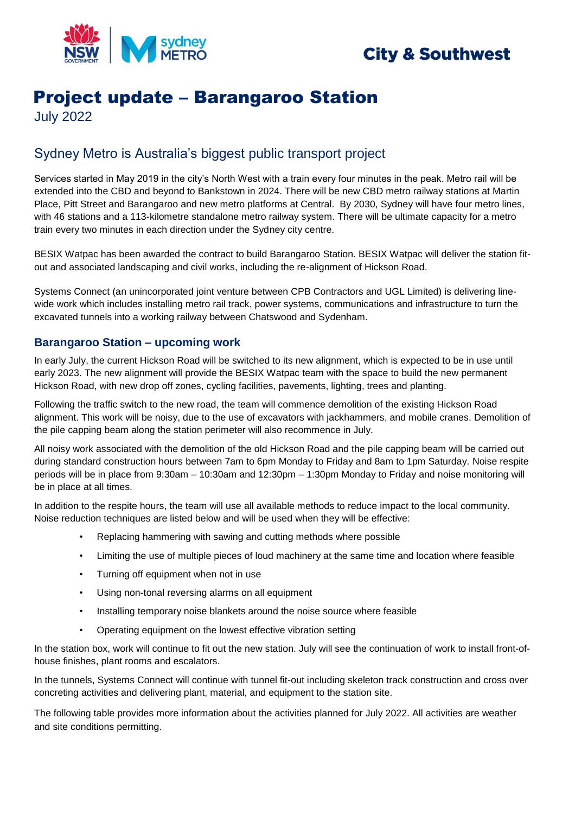

## **City & Southwest**

# Project update – Barangaroo Station

July 2022

## Sydney Metro is Australia's biggest public transport project

Services started in May 2019 in the city's North West with a train every four minutes in the peak. Metro rail will be extended into the CBD and beyond to Bankstown in 2024. There will be new CBD metro railway stations at Martin Place, Pitt Street and Barangaroo and new metro platforms at Central. By 2030, Sydney will have four metro lines, with 46 stations and a 113-kilometre standalone metro railway system. There will be ultimate capacity for a metro train every two minutes in each direction under the Sydney city centre.

BESIX Watpac has been awarded the contract to build Barangaroo Station. BESIX Watpac will deliver the station fitout and associated landscaping and civil works, including the re-alignment of Hickson Road.

Systems Connect (an unincorporated joint venture between CPB Contractors and UGL Limited) is delivering linewide work which includes installing metro rail track, power systems, communications and infrastructure to turn the excavated tunnels into a working railway between Chatswood and Sydenham.

### **Barangaroo Station – upcoming work**

In early July, the current Hickson Road will be switched to its new alignment, which is expected to be in use until early 2023. The new alignment will provide the BESIX Watpac team with the space to build the new permanent Hickson Road, with new drop off zones, cycling facilities, pavements, lighting, trees and planting.

Following the traffic switch to the new road, the team will commence demolition of the existing Hickson Road alignment. This work will be noisy, due to the use of excavators with jackhammers, and mobile cranes. Demolition of the pile capping beam along the station perimeter will also recommence in July.

All noisy work associated with the demolition of the old Hickson Road and the pile capping beam will be carried out during standard construction hours between 7am to 6pm Monday to Friday and 8am to 1pm Saturday. Noise respite periods will be in place from 9:30am – 10:30am and 12:30pm – 1:30pm Monday to Friday and noise monitoring will be in place at all times.

In addition to the respite hours, the team will use all available methods to reduce impact to the local community. Noise reduction techniques are listed below and will be used when they will be effective:

- Replacing hammering with sawing and cutting methods where possible
- Limiting the use of multiple pieces of loud machinery at the same time and location where feasible
- Turning off equipment when not in use
- Using non-tonal reversing alarms on all equipment
- Installing temporary noise blankets around the noise source where feasible
- Operating equipment on the lowest effective vibration setting

In the station box, work will continue to fit out the new station. July will see the continuation of work to install front-ofhouse finishes, plant rooms and escalators.

In the tunnels, Systems Connect will continue with tunnel fit-out including skeleton track construction and cross over concreting activities and delivering plant, material, and equipment to the station site.

The following table provides more information about the activities planned for July 2022. All activities are weather and site conditions permitting.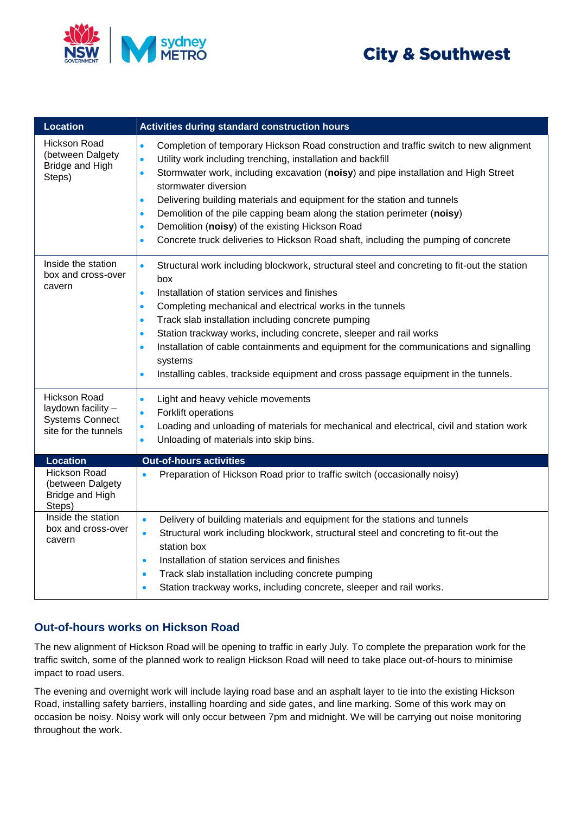# **City & Southwest**



| <b>Location</b>                                                                             | <b>Activities during standard construction hours</b>                                                                                                                                                                                                                                                                                                                                                                                                                                                                                                                                                                                                          |
|---------------------------------------------------------------------------------------------|---------------------------------------------------------------------------------------------------------------------------------------------------------------------------------------------------------------------------------------------------------------------------------------------------------------------------------------------------------------------------------------------------------------------------------------------------------------------------------------------------------------------------------------------------------------------------------------------------------------------------------------------------------------|
| <b>Hickson Road</b><br>(between Dalgety<br>Bridge and High<br>Steps)                        | Completion of temporary Hickson Road construction and traffic switch to new alignment<br>$\bullet$<br>Utility work including trenching, installation and backfill<br>$\bullet$<br>Stormwater work, including excavation (noisy) and pipe installation and High Street<br>$\bullet$<br>stormwater diversion<br>Delivering building materials and equipment for the station and tunnels<br>$\bullet$<br>Demolition of the pile capping beam along the station perimeter (noisy)<br>$\bullet$<br>Demolition (noisy) of the existing Hickson Road<br>$\bullet$<br>Concrete truck deliveries to Hickson Road shaft, including the pumping of concrete<br>$\bullet$ |
| Inside the station<br>box and cross-over<br>cavern                                          | Structural work including blockwork, structural steel and concreting to fit-out the station<br>$\bullet$<br>box<br>Installation of station services and finishes<br>$\bullet$<br>Completing mechanical and electrical works in the tunnels<br>$\bullet$<br>Track slab installation including concrete pumping<br>$\bullet$<br>Station trackway works, including concrete, sleeper and rail works<br>$\bullet$<br>Installation of cable containments and equipment for the communications and signalling<br>$\bullet$<br>systems<br>Installing cables, trackside equipment and cross passage equipment in the tunnels.<br>$\bullet$                            |
| <b>Hickson Road</b><br>laydown facility -<br><b>Systems Connect</b><br>site for the tunnels | Light and heavy vehicle movements<br>$\bullet$<br>Forklift operations<br>$\bullet$<br>Loading and unloading of materials for mechanical and electrical, civil and station work<br>$\bullet$<br>Unloading of materials into skip bins.<br>$\bullet$                                                                                                                                                                                                                                                                                                                                                                                                            |
| <b>Location</b>                                                                             | <b>Out-of-hours activities</b>                                                                                                                                                                                                                                                                                                                                                                                                                                                                                                                                                                                                                                |
| <b>Hickson Road</b><br>(between Dalgety<br>Bridge and High<br>Steps)                        | Preparation of Hickson Road prior to traffic switch (occasionally noisy)<br>$\bullet$                                                                                                                                                                                                                                                                                                                                                                                                                                                                                                                                                                         |
| Inside the station<br>box and cross-over<br>cavern                                          | Delivery of building materials and equipment for the stations and tunnels<br>$\bullet$<br>Structural work including blockwork, structural steel and concreting to fit-out the<br>$\bullet$<br>station box<br>Installation of station services and finishes<br>$\bullet$<br>Track slab installation including concrete pumping<br>$\bullet$<br>Station trackway works, including concrete, sleeper and rail works.                                                                                                                                                                                                                                             |

## **Out-of-hours works on Hickson Road**

The new alignment of Hickson Road will be opening to traffic in early July. To complete the preparation work for the traffic switch, some of the planned work to realign Hickson Road will need to take place out-of-hours to minimise impact to road users.

The evening and overnight work will include laying road base and an asphalt layer to tie into the existing Hickson Road, installing safety barriers, installing hoarding and side gates, and line marking. Some of this work may on occasion be noisy. Noisy work will only occur between 7pm and midnight. We will be carrying out noise monitoring throughout the work.